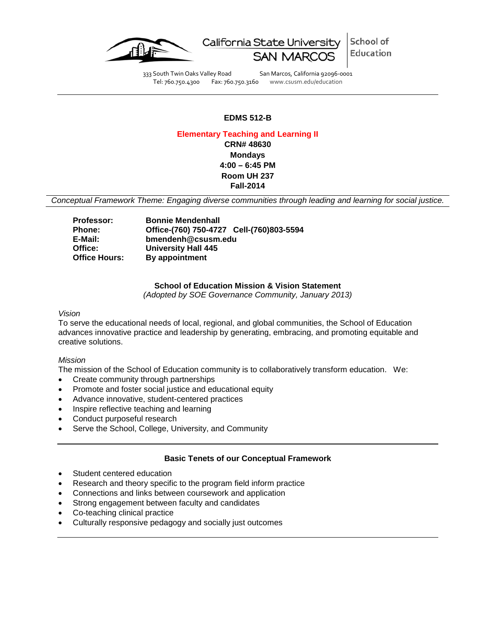

School of California State University Education

333 South Twin Oaks Valley Road San Marcos, California 92096-0001 Tel: 760.750.4300 Fax: 760.750.3160 www.csusm.edu/education

# **EDMS 512-B**

### **Elementary Teaching and Learning II**

**CRN# 48630 Mondays 4:00 – 6:45 PM Room UH 237 Fall-2014**

*Conceptual Framework Theme: Engaging diverse communities through leading and learning for social justice.*

| <b>Professor:</b>    | <b>Bonnie Mendenhall</b>                 |  |
|----------------------|------------------------------------------|--|
| <b>Phone:</b>        | Office-(760) 750-4727 Cell-(760)803-5594 |  |
| E-Mail:              | bmendenh@csusm.edu                       |  |
| Office:              | <b>University Hall 445</b>               |  |
| <b>Office Hours:</b> | By appointment                           |  |

## **School of Education Mission & Vision Statement**

*(Adopted by SOE Governance Community, January 2013)*

*Vision*

To serve the educational needs of local, regional, and global communities, the School of Education advances innovative practice and leadership by generating, embracing, and promoting equitable and creative solutions.

### *Mission*

The mission of the School of Education community is to collaboratively transform education. We:

- Create community through partnerships
- Promote and foster social justice and educational equity
- Advance innovative, student-centered practices
- Inspire reflective teaching and learning
- Conduct purposeful research
- Serve the School, College, University, and Community

### **Basic Tenets of our Conceptual Framework**

- Student centered education
- Research and theory specific to the program field inform practice
- Connections and links between coursework and application
- Strong engagement between faculty and candidates
- Co-teaching clinical practice
- Culturally responsive pedagogy and socially just outcomes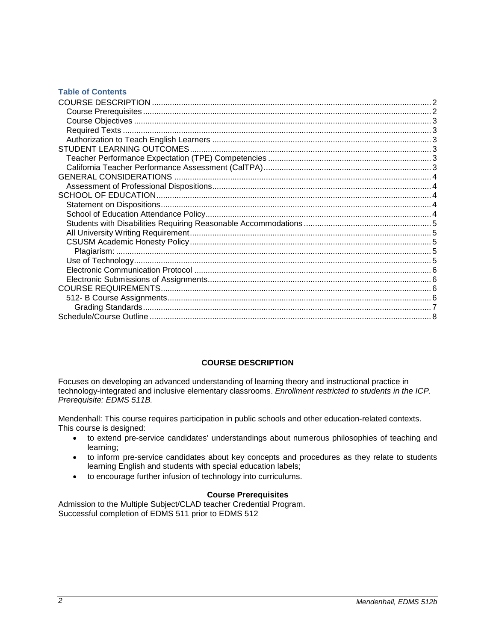# **Table of Contents**

# **COURSE DESCRIPTION**

<span id="page-1-0"></span>Focuses on developing an advanced understanding of learning theory and instructional practice in technology-integrated and inclusive elementary classrooms. *Enrollment restricted to students in the ICP. Prerequisite: EDMS 511B.*

Mendenhall: This course requires participation in public schools and other education-related contexts. This course is designed:

- to extend pre-service candidates' understandings about numerous philosophies of teaching and learning;
- to inform pre-service candidates about key concepts and procedures as they relate to students learning English and students with special education labels;
- to encourage further infusion of technology into curriculums.

### **Course Prerequisites**

<span id="page-1-2"></span><span id="page-1-1"></span>Admission to the Multiple Subject/CLAD teacher Credential Program. Successful completion of EDMS 511 prior to EDMS 512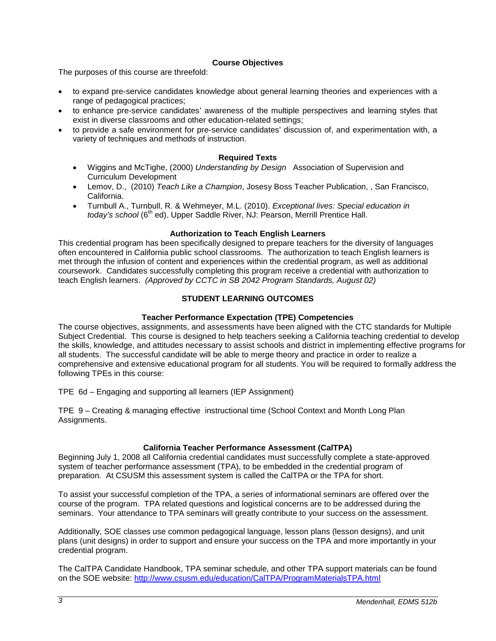# **Course Objectives**

The purposes of this course are threefold:

- to expand pre-service candidates knowledge about general learning theories and experiences with a range of pedagogical practices;
- to enhance pre-service candidates' awareness of the multiple perspectives and learning styles that exist in diverse classrooms and other education-related settings;
- to provide a safe environment for pre-service candidates' discussion of, and experimentation with, a variety of techniques and methods of instruction.

# **Required Texts**

- <span id="page-2-0"></span>• Wiggins and McTighe, (2000) *Understanding by Design* Association of Supervision and Curriculum Development
- Lemov, D., (2010) *Teach Like a Champion*, Josesy Boss Teacher Publication, , San Francisco, California.
- Turnbull A., Turnbull, R. & Wehmeyer, M.L. (2010). *Exceptional lives: Special education in today's school* (6<sup>th</sup> ed). Upper Saddle River, NJ: Pearson, Merrill Prentice Hall.

# **Authorization to Teach English Learners**

<span id="page-2-1"></span>This credential program has been specifically designed to prepare teachers for the diversity of languages often encountered in California public school classrooms. The authorization to teach English learners is met through the infusion of content and experiences within the credential program, as well as additional coursework. Candidates successfully completing this program receive a credential with authorization to teach English learners. *(Approved by CCTC in SB 2042 Program Standards, August 02)*

# **STUDENT LEARNING OUTCOMES**

# **Teacher Performance Expectation (TPE) Competencies**

<span id="page-2-3"></span><span id="page-2-2"></span>The course objectives, assignments, and assessments have been aligned with the CTC standards for Multiple Subject Credential. This course is designed to help teachers seeking a California teaching credential to develop the skills, knowledge, and attitudes necessary to assist schools and district in implementing effective programs for all students. The successful candidate will be able to merge theory and practice in order to realize a comprehensive and extensive educational program for all students. You will be required to formally address the following TPEs in this course:

TPE 6d – Engaging and supporting all learners (IEP Assignment)

TPE 9 – Creating & managing effective instructional time (School Context and Month Long Plan Assignments.

# **California Teacher Performance Assessment (CalTPA)**

<span id="page-2-4"></span>Beginning July 1, 2008 all California credential candidates must successfully complete a state-approved system of teacher performance assessment (TPA), to be embedded in the credential program of preparation. At CSUSM this assessment system is called the CalTPA or the TPA for short.

To assist your successful completion of the TPA, a series of informational seminars are offered over the course of the program. TPA related questions and logistical concerns are to be addressed during the seminars. Your attendance to TPA seminars will greatly contribute to your success on the assessment.

Additionally, SOE classes use common pedagogical language, lesson plans (lesson designs), and unit plans (unit designs) in order to support and ensure your success on the TPA and more importantly in your credential program.

The CalTPA Candidate Handbook, TPA seminar schedule, and other TPA support materials can be found on the SOE website: <http://www.csusm.edu/education/CalTPA/ProgramMaterialsTPA.html>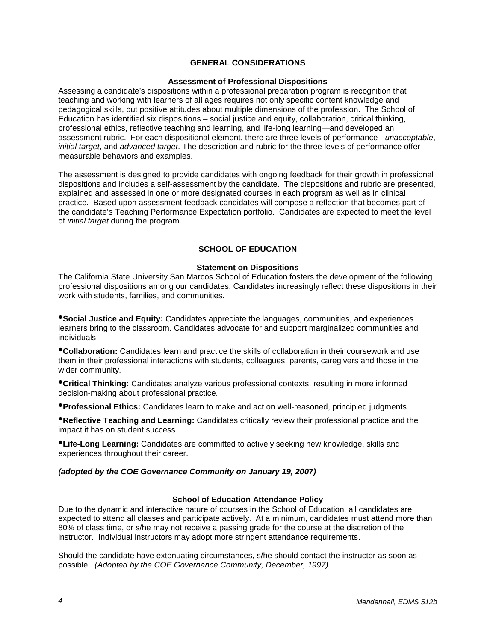# **GENERAL CONSIDERATIONS**

#### **Assessment of Professional Dispositions**

<span id="page-3-1"></span><span id="page-3-0"></span>Assessing a candidate's dispositions within a professional preparation program is recognition that teaching and working with learners of all ages requires not only specific content knowledge and pedagogical skills, but positive attitudes about multiple dimensions of the profession. The School of Education has identified six dispositions – social justice and equity, collaboration, critical thinking, professional ethics, reflective teaching and learning, and life-long learning—and developed an assessment rubric. For each dispositional element, there are three levels of performance - *unacceptable*, *initial target*, and *advanced target*. The description and rubric for the three levels of performance offer measurable behaviors and examples.

The assessment is designed to provide candidates with ongoing feedback for their growth in professional dispositions and includes a self-assessment by the candidate. The dispositions and rubric are presented, explained and assessed in one or more designated courses in each program as well as in clinical practice. Based upon assessment feedback candidates will compose a reflection that becomes part of the candidate's Teaching Performance Expectation portfolio. Candidates are expected to meet the level of *initial target* during the program.

# **SCHOOL OF EDUCATION**

### **Statement on Dispositions**

<span id="page-3-3"></span><span id="page-3-2"></span>The California State University San Marcos School of Education fosters the development of the following professional dispositions among our candidates. Candidates increasingly reflect these dispositions in their work with students, families, and communities.

•**Social Justice and Equity:** Candidates appreciate the languages, communities, and experiences learners bring to the classroom. Candidates advocate for and support marginalized communities and individuals.

•**Collaboration:** Candidates learn and practice the skills of collaboration in their coursework and use them in their professional interactions with students, colleagues, parents, caregivers and those in the wider community.

•**Critical Thinking:** Candidates analyze various professional contexts, resulting in more informed decision-making about professional practice.

•**Professional Ethics:** Candidates learn to make and act on well-reasoned, principled judgments.

•**Reflective Teaching and Learning:** Candidates critically review their professional practice and the impact it has on student success.

•**Life-Long Learning:** Candidates are committed to actively seeking new knowledge, skills and experiences throughout their career.

## *(adopted by the COE Governance Community on January 19, 2007)*

### **School of Education Attendance Policy**

<span id="page-3-4"></span>Due to the dynamic and interactive nature of courses in the School of Education, all candidates are expected to attend all classes and participate actively. At a minimum, candidates must attend more than 80% of class time, or s/he may not receive a passing grade for the course at the discretion of the instructor. Individual instructors may adopt more stringent attendance requirements.

Should the candidate have extenuating circumstances, s/he should contact the instructor as soon as possible. *(Adopted by the COE Governance Community, December, 1997).*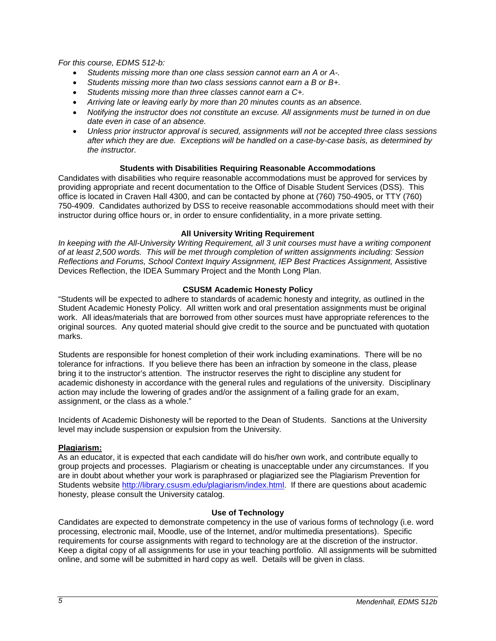*For this course, EDMS 512-b:* 

- *Students missing more than one class session cannot earn an A or A-.*
- *Students missing more than two class sessions cannot earn a B or B+.*
- *Students missing more than three classes cannot earn a C+.*
- *Arriving late or leaving early by more than 20 minutes counts as an absence.*
- *Notifying the instructor does not constitute an excuse. All assignments must be turned in on due date even in case of an absence.*
- *Unless prior instructor approval is secured, assignments will not be accepted three class sessions after which they are due. Exceptions will be handled on a case-by-case basis, as determined by the instructor.*

# **Students with Disabilities Requiring Reasonable Accommodations**

<span id="page-4-0"></span>Candidates with disabilities who require reasonable accommodations must be approved for services by providing appropriate and recent documentation to the Office of Disable Student Services (DSS). This office is located in Craven Hall 4300, and can be contacted by phone at (760) 750-4905, or TTY (760) 750-4909. Candidates authorized by DSS to receive reasonable accommodations should meet with their instructor during office hours or, in order to ensure confidentiality, in a more private setting.

# **All University Writing Requirement**

<span id="page-4-1"></span>*In keeping with the All-University Writing Requirement, all 3 unit courses must have a writing component of at least 2,500 words. This will be met through completion of written assignments including: Session Reflections and Forums, School Context Inquiry Assignment, IEP Best Practices Assignment,* Assistive Devices Reflection, the IDEA Summary Project and the Month Long Plan.

# **CSUSM Academic Honesty Policy**

<span id="page-4-2"></span>"Students will be expected to adhere to standards of academic honesty and integrity, as outlined in the Student Academic Honesty Policy. All written work and oral presentation assignments must be original work. All ideas/materials that are borrowed from other sources must have appropriate references to the original sources. Any quoted material should give credit to the source and be punctuated with quotation marks.

Students are responsible for honest completion of their work including examinations. There will be no tolerance for infractions. If you believe there has been an infraction by someone in the class, please bring it to the instructor's attention. The instructor reserves the right to discipline any student for academic dishonesty in accordance with the general rules and regulations of the university. Disciplinary action may include the lowering of grades and/or the assignment of a failing grade for an exam, assignment, or the class as a whole."

Incidents of Academic Dishonesty will be reported to the Dean of Students. Sanctions at the University level may include suspension or expulsion from the University.

# <span id="page-4-3"></span>**Plagiarism:**

As an educator, it is expected that each candidate will do his/her own work, and contribute equally to group projects and processes. Plagiarism or cheating is unacceptable under any circumstances. If you are in doubt about whether your work is paraphrased or plagiarized see the Plagiarism Prevention for Students website [http://library.csusm.edu/plagiarism/index.html.](http://library.csusm.edu/plagiarism/index.html) If there are questions about academic honesty, please consult the University catalog.

# **Use of Technology**

<span id="page-4-4"></span>Candidates are expected to demonstrate competency in the use of various forms of technology (i.e. word processing, electronic mail, Moodle, use of the Internet, and/or multimedia presentations). Specific requirements for course assignments with regard to technology are at the discretion of the instructor. Keep a digital copy of all assignments for use in your teaching portfolio. All assignments will be submitted online, and some will be submitted in hard copy as well. Details will be given in class.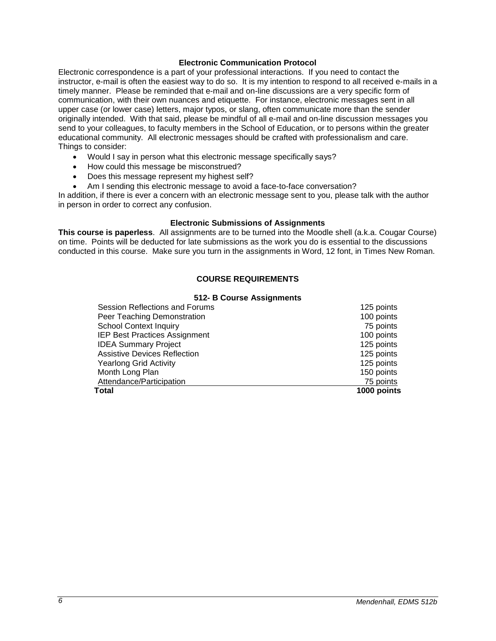### **Electronic Communication Protocol**

<span id="page-5-0"></span>Electronic correspondence is a part of your professional interactions. If you need to contact the instructor, e-mail is often the easiest way to do so. It is my intention to respond to all received e-mails in a timely manner. Please be reminded that e-mail and on-line discussions are a very specific form of communication, with their own nuances and etiquette. For instance, electronic messages sent in all upper case (or lower case) letters, major typos, or slang, often communicate more than the sender originally intended. With that said, please be mindful of all e-mail and on-line discussion messages you send to your colleagues, to faculty members in the School of Education, or to persons within the greater educational community. All electronic messages should be crafted with professionalism and care. Things to consider:

- Would I say in person what this electronic message specifically says?
- How could this message be misconstrued?
- Does this message represent my highest self?
- Am I sending this electronic message to avoid a face-to-face conversation?

In addition, if there is ever a concern with an electronic message sent to you, please talk with the author in person in order to correct any confusion.

### **Electronic Submissions of Assignments**

<span id="page-5-2"></span><span id="page-5-1"></span>**This course is paperless**. All assignments are to be turned into the Moodle shell (a.k.a. Cougar Course) on time. Points will be deducted for late submissions as the work you do is essential to the discussions conducted in this course. Make sure you turn in the assignments in Word, 12 font, in Times New Roman.

# **COURSE REQUIREMENTS**

### **512- B Course Assignments**

<span id="page-5-3"></span>

| Total                                | 1000 points |
|--------------------------------------|-------------|
| Attendance/Participation             | 75 points   |
| Month Long Plan                      | 150 points  |
| <b>Yearlong Grid Activity</b>        | 125 points  |
| <b>Assistive Devices Reflection</b>  | 125 points  |
| <b>IDEA Summary Project</b>          | 125 points  |
| <b>IEP Best Practices Assignment</b> | 100 points  |
| <b>School Context Inquiry</b>        | 75 points   |
| Peer Teaching Demonstration          | 100 points  |
| Session Reflections and Forums       | 125 points  |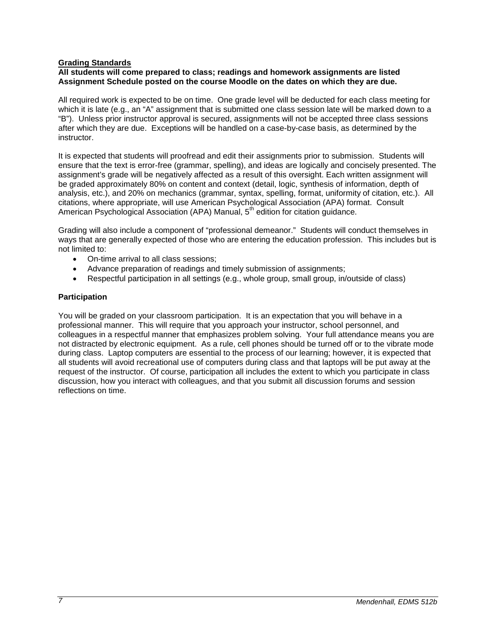# <span id="page-6-0"></span>**Grading Standards**

### **All students will come prepared to class; readings and homework assignments are listed Assignment Schedule posted on the course Moodle on the dates on which they are due.**

All required work is expected to be on time. One grade level will be deducted for each class meeting for which it is late (e.g., an "A" assignment that is submitted one class session late will be marked down to a "B"). Unless prior instructor approval is secured, assignments will not be accepted three class sessions after which they are due. Exceptions will be handled on a case-by-case basis, as determined by the instructor.

It is expected that students will proofread and edit their assignments prior to submission. Students will ensure that the text is error-free (grammar, spelling), and ideas are logically and concisely presented. The assignment's grade will be negatively affected as a result of this oversight. Each written assignment will be graded approximately 80% on content and context (detail, logic, synthesis of information, depth of analysis, etc.), and 20% on mechanics (grammar, syntax, spelling, format, uniformity of citation, etc.). All citations, where appropriate, will use American Psychological Association (APA) format. Consult American Psychological Association (APA) Manual, 5<sup>th</sup> edition for citation guidance.

Grading will also include a component of "professional demeanor." Students will conduct themselves in ways that are generally expected of those who are entering the education profession. This includes but is not limited to:

- On-time arrival to all class sessions;
- Advance preparation of readings and timely submission of assignments;
- Respectful participation in all settings (e.g., whole group, small group, in/outside of class)

### **Participation**

You will be graded on your classroom participation. It is an expectation that you will behave in a professional manner. This will require that you approach your instructor, school personnel, and colleagues in a respectful manner that emphasizes problem solving. Your full attendance means you are not distracted by electronic equipment. As a rule, cell phones should be turned off or to the vibrate mode during class. Laptop computers are essential to the process of our learning; however, it is expected that all students will avoid recreational use of computers during class and that laptops will be put away at the request of the instructor. Of course, participation all includes the extent to which you participate in class discussion, how you interact with colleagues, and that you submit all discussion forums and session reflections on time.